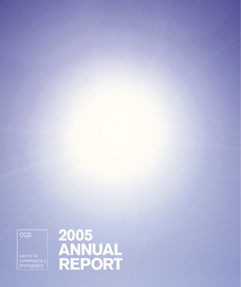centre for<br>contemporary<br>photography

ccp.

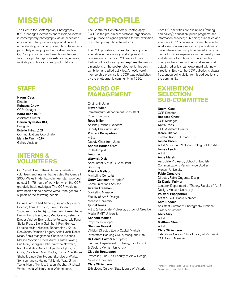## **MISSION**

The Centre for Contemporary Photography (CCP) engages Victorians and visitors to Victoria in contemporary photography via an accessible environment that promotes appreciation and understanding of contemporary photo-based arts, particularly emerging and innovative practice. CCP supports artists and enables audiences to explore photography via exhibitions, lectures, workshops, publications and public debate.

### **STAFF**

Naomi Cass Director Rebecca Chew CCP Manager Karra Rees (0.6) Assistant Curator Darren Sylvester (0.4) Designer Estelle Ihász (0.2) Communications Coordinator Maggie Finch (0.6) Gallery Assistant

### **INTERNS & VOLUNTEERS**

CCP would like to thank its many valuable volunteers and interns that assisted the Centre in 2005. We estimate that volunteer staff provided at least 3 476 hours of work for which the CCP gratefully hacknowledges. The CCP would not have been able to operate without the generous support of the following people:

Laura Adams, Chad Alligood, Giuliana Angelucci-Deacon, Anna Axelsson, Clover Beckford-Saunders, Lucette Bejoc, Theo den Brinker, Jacqui Brown, Humphrey Clegg, Meg Cossar, Rebecca Draper, Andrew Evans, Jackie Felstead, Lily Feng, Stellar Fraser, Elena Galimberti, Roni Gomez, Lorraine Heller-Nicholas, Robert Hock, Kerrie-Dee Johns, Romaine Logere, Anita Lynch, Debra Maas, Sonia Mangiapane, Charlotte McInnes, Melissa McVeigh, David Mutch, Clinton Nalder, Sue Neal, Georgina Nebe, Natasha Newman, Raffi Pandolfini, Anna Phillips, Kyra Pybus, Tim Quirk, Clare Rae, David Rooks, Emma Rule, Karen Shaholli, Linda Sim, Helene Skundberg, Warisa Somsuphangrsi, Hanna Tai, Linda Tegg, Brian Tseng, Henry Trumble, Sharon Vaughan, Rachael Watts, Jenna Williams, Jake Wotherspoon.

# **CCP PROFILE**

The Centre for Contemporary Photography (CCP) is the pre-eminent Victorian organisation with purpose-designed galleries for the exhibition of contemporary photo-based arts.

The CCP provides a context for the enjoyment, education, understanding and appraisal of contemporary practice. CCP works from a tradition of photography and explores the various dimensions of the post-photographic through exhibition and allied activities. A not-for-profit membership organisation, CCP was established by the photographic community in 1986.

### **BOARD OF MANAGEMENT**

Chair until June Trevor Fuller Infrastructure Management Consultant Chair from June Ross Millen Solicitor, Partner, Deacons Deputy Chair until June Polixeni Papapetrou Artist Deputy Chair from June Sandra Bardas OAM Philanthropist Treasurer Warwick Dick Accountant & MYOB Consultant **Secretary** Priscilla Mellado Marketing Consultant Gerry Costigan (co-opted) Communications Advisor Kirsten Freeman Marketing Manager, Faculty of Art & Design, Monash University Lyndal Jones Artist & Associate Professor, School of Creative Media, RMIT University Kenneth Mahlab Property Developer Stephen Nossal Division Director, Equity Capital Markets, Investment Banking Group, Macquarie Bank Dr Daniel Palmer (co-opted) Lecturer, Department of Theory, Faculty of Art & Design, Monash University Claudia Terstappen Professor, Fine Arts, Faculty of Art & Design, Monash University Clare Williamson Exhibitions Curator, State Library of Victoria

Core CCP activities are exhibitions (touring and gallery); education; public programs and information services; publishing; print sales and advocacy. CCP occupies a unique place within Australian contemporary arts organisations; a place where emerging photo-based artists can gain a formative experience in the development and staging of exhibitions; where practicing photographers can find new audiences; and established artists can experiment with new directions. Entry to the CCP galleries is always free, encouraging visits from broad sections of the community.

### **EXHIBITION SELECTION SUB-COMMITTEE**

Naomi Cass CCP Director Rebecca Chew CCP Manager Karra Rees CCP Assistant Curator Maree Clarke Curator, Koorie Heritage Trust Janina Green Artist & Lecturer, Victorian College of the Arts James Lynch Artist Anne Marsh Associate Professor, School of English, Communications Performance Studies, Monash University Fabio Ongarato Director, Fabio Ongarato Design Dr Daniel Palmer Lecturer, Department of Theory, Faculty of Art & Design, Monash University Polixeni Papapetrou Artist & CCP Board Member Kate Rhodes Assistant Curator of Photography, National Gallery of Victoria Koky Saly Artist Matthew Sleeth Artist Clare Williamson Exhibitions Curator, State Library of Victoria & CCP Board Member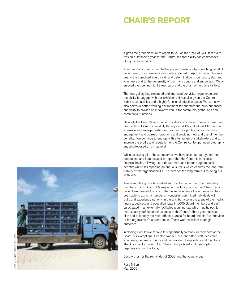## **CHAIR'S REPORT**

It gives me great pleasure to report to you as the Chair of CCP that 2005 was an outstanding year for the Centre and that 2006 has commenced along the same lines.

After overcoming all of the challenges and reasons why something couldn't be achieved, our marvellous new gallery opened in April last year. This was due to the combined energy, skill and determination of our board, staff and volunteers and to the generosity of our many donors and supporters. We all enjoyed the opening night street party and the crush of first time visitors.

The new gallery has expanded and improved our visitor experience and the ability to engage with our exhibitions. It has also given the Centre viable retail facilities and a highly functional eduction space. We can now also deliver a better working environment for our staff and have enhanced our ability to provide an innovative venue for community gatherings and commercial functions.

Naturally the Centre's new home provides a solid base from which we have been able to focus successfully throughout 2005 and into 2006 upon our extensive and enlarged exhibition program, our publications, community engagement and outreach programs and providing new and useful member benefits. We continue to engage with a full range of stakeholders and to improve the profile and reputation of the Centre, contemporary photography and photo-based arts in general.

While achieving all of these outcomes we have also had our eye on the bottom line and I am pleased to report that the Centre is in excellent financial health, allowing us to deliver more and better programs and benefits whilst still reporting an annual surplus which ensures the long-term viability of the organisation. CCP is here for the long term, 2006 being our 20th year.

Twelve months go we farewelled and thanked a number of outstanding members of our Board of Management including our former Chair, Trevor Fuller. I am pleased to confirm that as replacements the organisation has been able to attract a number of wonderful, committed individuals with skills and experience not only in the arts, but also in the areas of the media, finance, business and education. Late in 2005 Board members and staff participated in an externally facilitated planning day which has helped to more sharply define certain aspects of the Centre's three year business plan and to identify the most effective areas for board and staff contribution to the organisation's current needs. These were excellent strategic outcomes.

In closing I would like to take this opportunity to thank all members of the Board, our exceptional Director, Naomi Cass, our gifted staff, dedicated volunteers, generous donors and our wonderful supporters and members. Thank you all for making CCP the exciting, vibrant and meaningful organisation that it is today.

Best wishes for the remainder of 2006 and the years ahead.

Ross Millen May 2006

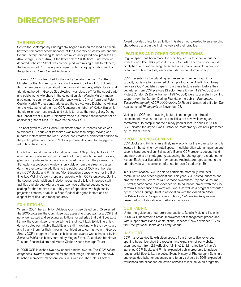## **DIRECTOR'S REPORT**

#### THE NEW CCP

Centre for Contemporary Photography began 2005 on the road as it were– between temporary accommodation at the University of Melbourne and the Colour Factory–preparing to move into much anticipated new premises at 404 George Street Fitzroy. If the latter half of 2004, from June when we departed Johnston Street, was preoccupied with raising funds to relocate, the beginning of 2005 was preoccupied with managing refurbishment of the gallery with Sean Godsell Architects.

The new CCP was launched for donors by Senator the Hon. Rod Kemp, Minister for the Arts and Sport early in the evening of April 28. Following this momentous occasion, about one thousand members, artists, locals, and friends gathered in George Street–which was closed off for the street party and public launch–to share in the celebration. Joy Wandin Murphy made a welcome to country and Councillor Judy Morton, City of Yarra and Peter Cocklin, Kodak Professional, addressed the crowd. Mary Delahunty, Minister for the Arts, launched the new CCP, cutting the ribbon of Kodak film while the old roller door rose slowly and noisily to reveal the new gallery. During this upbeat event Minister Delahunty made a surprise announcement of an additional grant of \$20 000 towards the new CCP.

The brief given to Sean Godsell Architects some 12 months earlier was to relocate CCP but what transpired was more than simply moving one hundred meters down the road. Godsell has created a significant addition to the public gallery landscape in Victoria, purpose-designed for engagement with photo-based arts.

In a brilliant transformation of a rather ordinary '60s printing factory, CCP now has four galleries forming a nautilus through which the visitor travels; glimpses of galleries to come are articulated throughout the journey. The fifth gallery, a projection window is only visible from the street and after dark. Further welcome additions to the public face of CCP are the retail area, CCP Books and Prints and Visy Education Space, where for the first time, Les Walkling's workshops are brought within CCP's envelope. Behind the scenes basic additions include modest public toilets, improved staff facilities and storage. Along the way we have gathered decent lecture seating for the first time in our 19 years of operation, two high quality projection screens, a fabulous Sean Godsell designed lectern and an elegant front desk and reception area.

#### **EXHIBITIONS**

When in 2004 the Exhibition Advisory Committee (listed on p. 2) selected the 2005 program, the Committee was assessing proposals for a CCP that no longer existed and selecting exhibitions for galleries that didn't yet exist. I thank the Committee for undertaking this difficult task. Exhibiting artists demonstrated remarkable flexibility and skill in working with the new space and I thank them for their important contribution to our first year in George Street. CCP's program of solo exhibitions and awards was enhanced by the Black on White exhibition, curated by Megan Evans (Australians for Native Title and Reconciliation) and Maree Clarke (Koorie Heritage Trust).

In 2005 CCP launched two new annual national awards. The CCP Nikon Imagebank Award is presented for the best image uploaded to the newly launched members' Imagebank on CCP's website. The Colour Factory

Award provides prints for exhibition in Gallery Two, awarded to an emerging photo-based artist in the first five years of their practice.

#### LECTURES AND OTHER CONVERSATIONS

Regular space has been made for exhibiting artists to speak about their work through floor talks presented every Saturday after each opening. A highlight of our programming, these sessions enable valuable interaction between exhibiting artists, visitors and staff in an informal setting.

CCP presented its longstanding lecture series, commencing with a capacity audience for renowned British photographer, Martin Parr. Every few years CCP publishes papers from these lecture series. Before their departures from CCP, previous Director, Tessa Dwyer (1997–2003) and Project Curator, Dr Daniel Palmer (1997–2004) were successful in gaining support from the Gordon Darling Foundation to publish Photogenic: Essays/Photography/CCP 2000–2004. Dr Robert Nelson, art critic for The Age launched Photogenic on November 23.

Visiting the CCP for an evening lecture is no longer the intrepid commitment it was in the past; our facilities are now welcoming and comfortable. To compliment the already popular lecture series, in 2005 CCP initiated the Joyce Evans History of Photography Seminars, presented by Dr Daniel Palmer.

#### BROADER ENGAGEMENT

CCP Books and Prints is an entirely new activity for the organisation and is located in the striking new retail space. In collaboration with antiquarian and second hand booksellers Sainsbury's Books, CCP presents second hand and new books on photography, expanding the photography experience for visitors. Each year five artists from across Australia are represented in the print drawers with a selection of prints for sale (listed on p.15).

In our new location CCP is able to participate more fully with local communities and other organisations. This year CCP hosted launches and programs for the City of Yarra, Overdose Awareness Day and Museums Australia; participated in an extended youth education project with the City of Yarra, Dancehouse and Westside Circus, as well as a program presented by the Koorie Heritage Trust in association with the exhibition Black on White. Laëtitia Bourget's solo exhibition, Cultures-landscapes was presented in collaboration with Alliance Française.

#### OUR FABRIC

Under the guidance of our pro-bono auditors, Gaddie Metz and Kahn, in 2005 CCP undertook a broad improvement of management procedures. With support from Kane Constructions, Rebecca Chew developed CCP's first Occupational Health and Safety Manual.

#### IN SHORT

CCP has expanded its exhibition spaces from three to five; extended opening hours; launched the redesign and expansion of our website; expanded staff from 2.8 (effective full time) to 3.8 (effective full time); launched CCP Books and Prints; expanded public programs to include regular artist floor talks, the Joyce Evans History of Photography Seminars and expanded talks for secondary and tertiary schools by 50%; expanded workshops and expanded education services to include youth programs.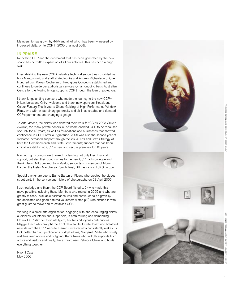Membership has grown by 44% and all of which has been witnessed by increased visitation to CCP in 2005 of almost 50%.

#### IN PRAISE

Relocating CCP and the excitement that has been generated by the new space has permitted expansion of all our activities. This has been a huge task.

In establishing the new CCP, invaluable technical support was provided by Nick Mantovinovic and staff at Audiophile and Andrew Richardson of One Hundred Lux. Rowan Cocheran of Prodigious Concepts established and continues to guide our audiovisual services. On an ongoing basis Australian Centre for the Moving Image supports CCP through the loan of projectors.

I thank longstanding sponsors who made the journey to the new CCP– Nikon, Leica and Qnix. I welcome and thank new sponsors, Kodak and Colour Factory. Thank you to Shane Golding of High Performance Window Films, who with extraordinary generosity and skill has created and donated CCP's permanent and changing signage.

To Arts Victoria, the artists who donated their work for CCP's 2003 Stellar Auction, the many private donors, all of whom enabled CCP to be rehoused securely for 13 years, as well as foundations and businesses that showed confidence in CCP, I offer our gratitude. 2005 was also the second year of welcome increased support through the Visual Arts and Craft Strategy of both the Commonwealth and State Governments; support that has been critical in establishing CCP in new and secure premises for 13 years.

Naming rights donors are thanked for lending not only their financial support, but also their good names to the new CCP. I acknowledge and thank Naomi Milgrom and John Kaldor, supporters in memory of Morry Bardas, the Helen Macpherson Smith Trust, Bill Lasica and Loti Smorgon.

Special thanks are due to Barrie Barton of Flaunt, who created the biggest street party in the service and history of photography, on 28 April 2005.

I acknowledge and thank the CCP Board (listed p. 2) who made this move possible, including those Members who retired in 2005 and who are greatly missed. Invaluable assistance was and continues to be given by the dedicated and good-natured volunteers (listed p.2) who pitched in with great gusto to move and re-establish CCP.

Working in a small arts organisation, engaging with and encouraging artists, audiences, volunteers and supporters, is both thrilling and demanding. I thank CCP staff for their intelligent, flexible and joyous contributions: Maggie Finch who brought the front desk to life; Estelle Ihász who breathed new life into the CCP website; Darren Sylvester who consistently makes us look better than our publications budget allows; Margaret Riddle who wisely watches over income and outgoing; Karra Rees who skilfully supports both artists and visitors and finally, the extraordinary Rebecca Chew who holds everything together.

Naomi Cass May 2006



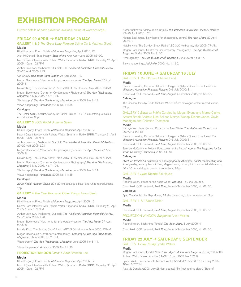## **EXHIBITION PROGRAM**

Further details of each exhibition available online at www.ccp.org.au

#### FRIDAY 29 APRIL ➔ SATURDAY 28 MAY

#### GALLERY 1 & 2 The Great Leap Forward Selina Ou & Matthew Sleeth Media

Khalil Hegarty, 'Photo Finish', Melbourne Magazine, April 2005: 12.

Alex McDonald, 'Snap Happy', State of the Arts, April–June 2005: 86–90.

Naomi Cass interview with Richard Watts, 'Smartarts', Radio 3RRR, Thursday 21 April 2005, 10am: 102.7FM.

Author unknown, 'Melbourne: Our pick', The Weekend Australian Financial Review, 22–25 April 2005: L23.

"On Show", Melbourne Yarra Leader, 25 April 2005: 13.

Megan Backhouse, 'New home for photography centre', The Age: Metro, 27 April  $2005.8$ 

Natalie King, 'The Sunday Show', Radio ABC 3LO Melbourne, May 2005: 774AM. Megan Backhouse, 'Centre for Contemporary Photography', The Age (Melbourne) Magazine, 5 May 2005, No. 7: 101.

'Photography', The Age (Melbourne) Magazine, June 2005: No. 8: 14.

'News happenings', Artichoke, 2005, No. 11: 35.

#### Catalogue

The Great Leap Forward, text by Dr Daniel Palmer, 14 x 15 cm catalogue, colour reproductions, 9pp.

#### GALLERY 3 2005 Kodak Autumn Salon

#### Media

Khalil Hegarty, 'Photo Finish', Melbourne Magazine, April 2005: 12.

Naomi Cass interview with Richard Watts, 'Smartarts', Radio 3RRR, Thursday 21 April 2005, 10am: 102.7FM.

Author unknown, 'Melbourne: Our pick', The Weekend Australian Financial Review, 22–25 April 2005: L23.

Megan Backhouse, 'New home for photography centre', The Age: Metro, 27 April 2005: 8.

Natalie King, 'The Sunday Show', Radio ABC 3LO Melbourne, May 2005: 774AM.

Megan Backhouse, 'Centre for Contemporary Photography', The Age (Melbourne) Magazine, 5 May 2005, No. 7: 101.

'Photography', The Age (Melbourne) Magazine, June 2005: No. 8: 14.

'News happenings', Artichoke, 2005, No. 11: 35.

#### **Catalogue**

2005 Kodak Autumn Salon, 20 x 20 cm catalogue, black and white reproductions, 7pp.

#### **GALLERY 4** The One Thousand Other Things Aaron Seeto

#### Media

Khalil Hegarty, 'Photo Finish', Melbourne Magazine, April 2005: 12.

Naomi Cass interview with Richard Watts, 'Smartarts', Radio 3RRR, Thursday 21 April 2005, 10am: 102.7FM.

Author unknown, 'Melbourne: Our pick', The Weekend Australian Financial Review, 22–25 April 2005: L23.

Megan Backhouse, 'New home for photography centre', The Age: Metro, 27 April 2005: 8.

Natalie King, 'The Sunday Show', Radio ABC 3LO Melbourne, May 2005: 774AM. Megan Backhouse, 'Centre for Contemporary Photography', The Age (Melbourne) Magazine, 5 May 2005, No. 7: 101.

'Photography', The Age (Melbourne) Magazine, June 2005: No. 8: 14.

'News happenings', Artichoke, 2005, No. 11: 35.

#### PROJECTION WINDOW Takin' a Shot Brendan Lee

#### Media

Khalil Hegarty, 'Photo Finish', Melbourne Magazine, April 2005: 12.

Naomi Cass interview with Richard Watts, 'Smartarts', Radio 3RRR, Thursday 21 April 2005, 10am: 102.7FM.

Author unknown, 'Melbourne: Our pick', The Weekend Australian Financial Review, 22–25 April 2005: L23.

Megan Backhouse, 'New home for photography centre', The Age: Metro, 27 April 2005: 8.

Natalie King, 'The Sunday Show', Radio ABC 3LO Melbourne, May 2005: 774AM. Megan Backhouse, 'Centre for Contemporary Photography', The Age (Melbourne) Magazine, 5 May 2005, No. 7: 101.

'Photography', The Age (Melbourne) Magazine, June 2005: No. 8: 14.

'News happenings', Artichoke, 2005: No. 11: 35.

#### FRIDAY 10 JUNE ➔ SATURDAY 16 JULY

GALLERY 1 The Chosen Cherine Fahd

#### Media

Stewart Hawkins, 'Out of a Plethora of Images, a Gallery Goes for the Heart' The Weekend Australian Financial Review, 2–3 July 2005: 31.

Chris Reid, 'CCP renewed', Real Time, August–September 2005, No. 68: 55.

#### **Catalogue**

The Chosen, texts by Linda Michael, 24.5 x 19 cm catalogue, colour reproductions, 32pp.

GALLERY 2 Black on White Curated by Megan Evans and Maree Clarke, Artists: Brook Andrew, Lisa Bellear, Mervyn Bishop, Dianne Jones, Gayle Maddigan and Christian Thompson

#### Media

Kathryn Kernohan, 'Coming Back on the Next Wave', The Melbourne Times, June 2005, No. 22: 18.

Stewart Hawkins, 'Out of a Plethora of Images, a Gallery Goes for the Heart' The Weekend Australian Financial Review, 2–3 July 2005: 31.

Chris Reid, 'CCP renewed', Real Time, August–September 2005, No. 68: 55.

Terence McCarthy, 'A Political Poet Looks to the Future', Agora: The Magazine for La Trobe University Graduates, 2005: 44–45.

#### **Catalogue**

Black on White: An exhibition of photographs by Aboriginal artists representing non-Aboriginality, texts by Naomi Cass, Megan Evans, Dr Tony Birch and artist statements, 20 x 20 cm catalogue, colour reproductions, 18pp.

#### GALLERY 3 Lyric Theatre Siri Hayes

#### Media

Robert Nelson, 'Paean to the noble weed', The Age, 15 June 2005: 6.

Chris Reid, 'CCP renewed', Real Time, August–September 2005, No. 68: 55.

#### **Catalogue**

Lyric Theatre, text by Phip Murray, A4 size catalogue, colour reproduction, 2pp.

#### GALLERY 4 1:1 Simon Disler

#### Media

Chris Reid, 'CCP renewed', Real Time, August–September 2005, No. 68: 55.

#### PROJECTION WINDOW Suspense Annie Wilson

#### Media

Robert Nelson, 'Night-time Tumble', The Age: Metro, 8 July 2005: 4.

Chris Reid, 'CCP renewed', Real Time, August–September 2005, No. 68: 55.

#### FRIDAY 22 JULY ➔ SATURDAY 3 SEPTEMBER

#### GALLERY 1 Stay Young Lyndal Walker

#### Media

Megan Backhouse, 'Lyndal Walker', The Age: (Melbourne) Magazine, 9 July 2005: 86. Richard Watts, 'Naked Ambition', MCV, 15 July 2005: No. 237: 9.

Lyndal Walker interview with Richard Watts, 'Smartarts', Radio 3RRR, 21 July 2005, 10am: 102.7FM.

Alex Mc Donald, (2003, July 28–last update), 'So fresh and so clean', (State of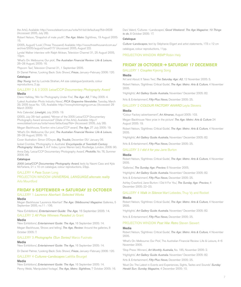the Arts), Available: http://www.stateart.com.au/sota/hit-list/default.asp?fid=3638 (Accessed: 2005, July 28).

Robert Nelson, "Snapshot of male youth", The Age: Metro: Sightlines, 19 August 2005: 15.

(2005, August) 'Look', (Three Thousand) Available: http://www.threethousand.com.au/ archive/2005/august/issue017/ (Accessed: 2005, August 22).

Lyndal Walker interview with Ralph Mclean, Television Channel 31, 25 August 2005, 10pm.

'What's On: Melbourne; Our pick', The Australian Financial Review: Life & Leisure, 26–28 August, 2005: 16.

'Popcorn Taxi', Television Channel 31, 1 September 2005.

Dr Daniel Palmer, 'Looking Back: Solo Shows', Frieze, January–February 2006: 120. **Catalogue** 

Stay Young, text by Lucinda Strahan, A4 size catalogue/postcards, colour reproductions, 2 pp.

#### GALLERY 2 & 3 2005 Leica/CCP Documentary Photography Award Media

Claire Halliday, 'Win for Photography Under Fire', The Age: A2, 7 May 2005: 4. 'Latest Australian Photo Industry News', PICA Grapevine Newsletter, Tuesday, March 29, 2005 Issue No. 125, Available: http://www.photoimaging.com.au (Accessed: 29 March 2005)

'Arts Calendar', Limelight, July 2005: 19.

(2003, July 26–last update), "Winner of the 2005 Leica/CCP Documentary Photography Award announced" (State of the Arts), Available: http:// www.stateart.com.au/sota/news/default.asp?fid= (Accessed: 2005, July 28).

Megan Backhouse, 'Everton wins Leica/CCP award', The Age, 27 July 2005: 19.

'What's On: Melbourne; Our pick', The Australian Financial Review: Life & Leisure, 26–28 August, 2005: 16.

Cover illustration: Simon O'Dwyer, Big Trouble, December 05/ January 06.

Isobel Crombie, 'Photography in Australia' Encyclopedia of Twentieth-Century Photography: Volume 1, A-F Index, Lynne Warren (ed.), Routledge, London, 2006: 90.

Anna Daly, 'Leica/CCP Documentary Photography Award', Photofile, No. 76, Summer 2006: 96.

#### **Catalogue**

2005 Leica/CCP Documentary Photography Award, texts by Naomi Cass and Kyla McFarlane, 21 x 10 cm catalogue, colour reproductions, 23pp.

#### GALLERY 4 Pass Susan Long

PROJECTION WINDOW UNIVERSAL LANGUAGE: alternate reality Arlo Mountford

#### FRIDAY 9 SEPTEMBER ➔ SATURDAY 22 OCTOBER

#### GALLERY 1 Laurence Aberhart: Selected Works

#### Media

Megan Backhouse 'Laurence Aberhart' The Age: (Melbourne) Magazine: Galleries, 5 September 2005, no.11 : 106.

'New Exhibitions', Entertainment Guide: The Age, 16 September 2005: 14.

#### GALLERY 2 All Prize Winners Paraded Jo Grant

Media

'New Exhibitions', Entertainment Guide: The Age, 16 September 2005: 14. Megan Backhouse, 'Shows and telling', The Age, Review: Around the galleries, 8 October 2005: 7.

#### GALLERY 3 Photographs (Sun Series) Marco Fusinato

#### Media

'New Exhibitions', Entertainment Guide: The Age, 16 September 2005: 14.

Dr Daniel Palmer, 'Looking Back: Solo Shows', Frieze, January–February 2006: 120.

#### GALLERY 4 Cultures–Landscapes Laëtitia Bourget

#### Media

'New Exhibitions', Entertainment Guide: The Age, 16 September 2005: 14. Penny Webb, 'Manipulated footage', The Age, Metro: Sightlines, 7 October 2005: 16. Dani Valent, 'Cultures -Landscapes', Good Weekend: The Age Magazine: 10 Things to do, 8 October 2005: 17.

#### **Catalogue**

Culture-Landscapes, text by Stéphanie Eligert and artist statements, 17.5 x 12 cm catalogue, colour reproductions, 11pp.

PROJECTION WINDOW RSVP Robin Hely

#### FRIDAY 28 OCTOBER ➔ SATURDAY 17 DECEMBER

#### GALLERY 1 Couples Kijeong Song

#### Media

'Art and About: It Takes Two', The Saturday Age: A2, 12 November 2005: 5. Robert Nelson, 'Sightlines: Critical Guide', The Age: Metro: Arts & Culture, 4 November 2005.

'Highlights'. Art Gallery Guide Australia, November/ December 2005: 82.

'Arts & Entertainment', Fifty-Plus News, December 2005: 25.

#### GALLERY 2 COLOUR FACTORY AWARD Leyla Stevens

#### Media

"Colour Factory advertisement", Art Almanac, August 2005: 103.

Megan Backhouse 'New prize in the picture' The Age: Metro: Arts & Culture 24 August 2005: 19.

Robert Nelson, 'Sightlines: Critical Guide', The Age: Metro: Arts & Culture, 4 November 2005.

'Highlights'. Art Gallery Guide Australia, November/ December 2005: 82.

'Arts & Entertainment', Fifty-Plus News, December 2005: 25.

#### GALLERY 3 I did it for you Jane Burton

#### Media

Robert Nelson, 'Sightlines: Critical Guide', The Age: Metro: Arts & Culture, 4 November 2005.

'Galleries', The Sunday Age: Preview, 6 November 2005.

'Highlights'. Art Gallery Guide Australia. November/ December 2005: 82.

'Arts & Entertainment', Fifty-Plus News, December 2005: 25.

Ashley Crawford, 'Jane Burton: I Did It For You', The Sunday Age: Preview, 4 December 2005: 22–23.

#### GALLERY 4 Walk in Silence Mart Lebedev, Thuy Vy and Rocket

#### Media

Robert Nelson, 'Sightlines: Critical Guide', The Age: Metro: Arts & Culture, 4 November 2005.

'Highlights'. Art Gallery Guide Australia. November/ December 2005: 82.

'Arts & Entertainment', Fifty-Plus News, December 2005: 25.

#### PROJECTION WINDOW Post War Retro Steven Siewert

#### Media

Robert Nelson, 'Sightlines: Critical Guide', The Age: Metro: Arts & Culture, 4 November 2005.

'What's On: Melbourne: Our Pick', The Australian Financial Review: Life & Leisure, 4–6 November 2005.

'Stop Press: Winners', Art Monthly Australia, No. 185, November 2005: 2.

'Highlights'. Art Gallery Guide Australia. November/ December 2005: 82.

'Arts & Entertainment', Fifty-Plus News, December 2005: 25.

'Must Do: The Latest in Events and Experiences, Sights, Tastes and Sounds' Sunday Herald Sun: Sunday Magazine, 4 December 2005: 10.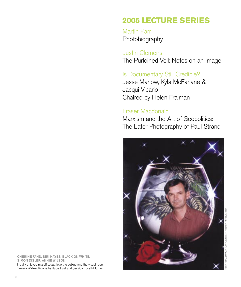## **2005 LECTURE SERIES**

Martin Parr Photobiography

Justin Clemens The Purloined Veil: Notes on an Image

### Is Documentary Still Credible?

Jesse Marlow, Kyla McFarlane & Jacqui Vicario Chaired by Helen Frajman

### Fraser Macdonald

Marxism and the Art of Geopolitics: The Later Photography of Paul Strand



CHERINE FAHD, SIRI HAYES, BLACK ON WHITE, SIMON DISLER, ANNIE WILSON I really enjoyed myself today, love the set-up and the visual room. Tamara Walker, Koorie heritage trust and Jessica Lovett-Murray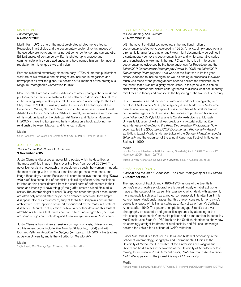#### MARTIN PARR

### Photobiography

### 5 October 2005

Martin Parr (UK) is one of the most celebrated photographers today. Respected in art circles and the documentary sector alike, his images of the everyday are ironic and amusing, yet somehow tender and sympathetic. Brilliant satires of contemporary life, his photographs engage and communicate with diverse audiences and have earned him an international reputation for his unique style and vision.

Parr has exhibited extensively since the early 1970s. Numerous publications work are of his available and his images are included in magazines and newspapers all over the globe. He became a full member of the prestigious Magnum Photographic Corporation in 1994.

More recently, Parr has curated exhibitions of other photographers' work and photographed commercial fashion. He has also been developing his interest in the moving image, making several films including a video clip for the Pet Shop Boys. In 2004, he was appointed Professor of Photography at the University of Wales, Newport Campus and in the same year he was Guest Artistic Director for Rencontres D'Arles. Currently, an impressive retrospective of his work (initiated by the Barbican Art Gallery and National Museum, in 2002) is travelling Europe and he is working on a book exploring the relationship between Mexican and American culture.

#### Media

Chris Johnston, 'Too Close For Comfort', The Age: Metro, 4 October 2005: 14.

#### JUSTIN CLEMENS

The Purloined Veil: Notes On An Image 9 November 2005

Justin Clemens discusses an advertising poster, which he describes as the most graffitied image in Paris over the New Year period 2003–4. The advertisement is a photograph of a couple on a couch, the woman in lingerie, the man reclining with a camera; a familiar and perhaps even innocuous image these days. If some Parisians still seem to believe that daubing "Down with ads!" has some kind of beneficial political significance, the mutilations inflicted on this poster differed from the usual sorts of defacement in their focus and intensity. "Leave this guy," the graffiti-artists advised, "this ad is sexist". The anthropologist Michael Taussig has noted that public monuments are often only noticed after they've been defaced; otherwise, they simply disappear into their environment, subject to Walter Benjamin's dictum that architecture is the epitome of "an art experienced by the mass in a state of distraction". A number of questions follow: why bother defacing this stuff at all? Who really cares that much about an advertising image? And, perhaps: are some images precisely designed to encourage their own destruction?

Justin Clemens has written extensively on psychoanalysis, philosophy and art. His recent books include The Mundiad (Black Inc, 2004) and, with Dominic Pettman, Avoiding the Subject (Amsterdam UP, 2004). He teaches at Deakin University, and is the art critic for The Monthly.

#### Media

'Eight Days', The Sunday Age: Preview, 6 November 2005.

#### JESSE MARLOW, KYLA MCFARLANE AND JACQUI VICARIO

#### Is Documentary Still Credible? 23 November 2005

With the advent of digital technologies, is the traditional notion of documentary photography, developed in 1930s America, simply anachronistic, a romantic longing for a simpler age? How might documentary be defined in a contemporary context: is documentary black and white, a narrative series, an unconstructed environment, the truth? Clearly there is still interest in documentary as evidenced by the huge audiences for Reportage and the Leica/CCP Documentary Photography Award. In 2005 the Leica/CCP Documentary Photography Award was, for the first time in its ten-year history, extended to include digital as well as analogue processes. However, much was made of the photographers need to declare the verisimilitude of their work, that it was not digitally manipulated. In this panel discussion an artist, writer, curator and picture editor gathered to discuss what documentary might mean in theory and practice at the beginning of the twenty-first century.

Helen Frajman is an independent curator and editor of photography, and director of Melbourne's M.33 photo agency. Jesse Marlow is a Melbourne based documentary photographer. He is a member of Australia's leading documentary agency Oculi and is in the process of publishing his second book Wounded. Dr Kyla McFarlane is Curator/exhibitions at Monash University Museum of Art and was previously a pictorial editor at The Age. Her essay Attending to the Real: Documentary Photography Now accompanied the 2005 Leica/CCP Documentary Photography Award exhibition. Jacqui Vicario is Picture Editor of the Sunday Magazine, Sunday Telegraph and the organiser of the annual Reportage Festival, initiated in Sydney in 1999.

#### Media

Kyla McFarlane interview with Richard Watts, 'Smartarts', Radio 3RRR, Thursday 17 November 2005, 11am: 102.7FM.

Susan Lowish, 'Genevieve Grieves', un Magazine, Issue 7, Autumn 2006: 28.

#### FRASER MACDONALD

#### Marxism and the Art of Geopolitics: The Later Photography of Paul Strand 7 December 2005

The reputation of Paul Strand (1890–1976) as one of the twentieth century's most notable photographers is based largely on abstract works made at the outset of his career. His later work, which dealt with apparently more naturalistic subjects, has attracted comparatively little attention. In his lecture Fraser MacDonald argues that this uneven construction of Strand's genius is a legacy of his liminal status as a Marxist exile from McCarthyite America after 1949. This paper attempts to engage Strand's post-war photography on aesthetic and geopolitical grounds, by attending to the relationship between his Communist politics and his modernism. In particular, MacDonald uses Strand's 1962 book on the Scottish Hebrides to show how his seemingly straight treatment of rural sociality and folkloric knowledge became the vehicle for a critique of NATO militarism.

Fraser MacDonald is a lecturer in cultural and historical geography in the School of Anthropology, Geography and Environmental Studies at the University of Melbourne. He studied at the Universities of Glasgow and Oxford and held a research fellowship at the University of Aberdeen before moving to Australia in 2004. A recent paper, Paul Strand and the Atlanticist Cold War appeared in the journal History of Photography.

#### Media

Richard Watts, 'Smartarts', Radio 3RRR, Thursday 31 November 2005, 9am–12pm: 102.7FM.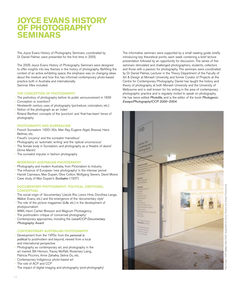### **JOYCE EVANS HISTORY OF PHOTOGRAPHY SEMINARS**

The Joyce Evans History of Photography Seminars, coordinated by Dr Daniel Palmer, were presented for the first time in 2005.

The 2005 Joyce Evans History of Photography Seminars were designed to offer insights into key themes in the history of photography. Befitting the context of an active exhibiting space, the emphasis was on changing ideas about the medium and how this has informed contemporary photo-based practice both in Australia and internationally. Seminar titles included:

#### THE CONCEPTION OF PHOTOGRAPHY

- The prehistory of photography before its public announcement in 1839 •
- Conception or invention? •
- Nineteenth century uses of photography (portraiture, colonialism, etc.) •
- Notion of the photograph as an 'index' •
- Roland Barthes' concepts of the 'punctum' and 'that-has-been' tense of photography •

#### PHOTOGRAPHY AND SURREALISM

- French Surrealism 1920–30s: Man Ray, Eugene Atget, Brassaï, Hans Bellmer, etc. •
- Freud's 'uncanny' and the surrealist 'marvellous' •
- Photography as 'automatic writing' and the 'optical unconscious' •
- The female body in Surrealism, and photography as a 'theatre of desire' (Anne Marsh) •
- The surrealist impulse in fashion photography

#### MODERNIST AUSTRALIAN PHOTOGRAPHY

- Photography and modern Australia, from Pictorialism to Industry •
- The influence of European 'new photography' in the interwar period •
- Harold Cazneaux, Max Dupain, Olive Cotton, Wolfgang Sievers, David Moore •
- Case study of Max Dupain's Sunbaker (1937) •

#### DOCUMENTARY PHOTOGRAPHY: POLITICAL, EMOTIONAL, **CONCEPTUAL**

- The social origin of 'documentary' (Jacob Riis, Lewis Hine, Dorothea Lange, Walker Evans, etc.) and the emergence of the 'documentary style' •
- The role of the picture magazines (Life, etc.) in the development of photojournalism •
- WWII, Henri Cartier-Bresson and Magnum Photoagency •
- The postmodern critique of 'concerned photography' •
- Contemporary approaches, including the Leica/CCP Documentary Photography Award •

#### CONTEMPORARY AUSTRALIAN PHOTOGRAPHY

- Development from the 1970s: from the personal is political to postmodern and beyond, viewed from a local and international perspective •
- Photography as contemporary art, and photography in the art market: Bill Henson, Tracey Moffatt, Rosemary Laing, Patricia Piccinini, Anne Zahalka, Selina Ou, etc. •
- Contemporary Indigenous photo-based art •
- The role of ACP and CCP •
- The impact of digital imaging and photography 'post-photography' •

The informative seminars were supported by a small reading guide, briefly introducing key theoretical points; each week combining a brief lecture presentation followed by an opportunity for discussion. The series of five seminars stimulated and challenged photographers, students, collectors and those with a passion for photography. The seminars were coordinated by Dr Daniel Palmer, Lecturer in the Theory Department of the Faculty of Art & Design at Monash University, and former Curator of Projects at the Centre for Contemporary Photography. Daniel has taught the history and theory of photography at both Monash University and the University of Melbourne and is well known for his writing in the area of contemporary photographic practice and is regularly invited to speak on photography. He has twice edited Photofile, and is the editor of the book Photogenic: Essays/Photography/CCP 2000–2004.

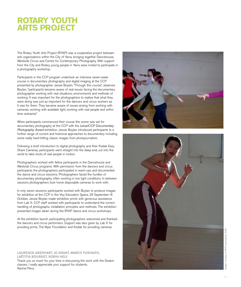## **ROTARY YOUTH ARTS PROJECT**

The Rotary Youth Arts Project (RYAP) was a cooperative project between arts organisations within the City of Yarra, bringing together Dancehouse, Westside Circus and Centre for Contemporary Photography. With support from the City and Rotary, young people in Yarra were invited to participate in a photography workshop.

Participants in the CCP program undertook an intensive seven-week course in documentary photography and digital imaging at the CCP presented by photographer Jessie Boylan. "Through this course", observes Boylan, "participants became aware of real issues facing the documentary photographer working with real situations, environments and methods of working. It was important for the photographers to realise that what they were doing was just as important for the dancers and circus workers as it was for them. They became aware of issues arising from working with cameras, working with available light, working with real people and within time restraints."

When participants commenced their course the scene was set for documentary photography at the CCP with the Leica/CCP Documentary Photography Award exhibition. Jessie Boylan introduced participants to a further range of current and historical approaches to documentary including some really hard-hitting classic images from photojournalism.

Following a brief introduction to digital photography and their Kodak Easy Share Cameras, participants went straight into the deep end, out into the world to take shots of real people in motion.

Photographers worked with fellow participants in the Dancehouse and Westside Circus programs. With permission from the dancers and circus participants the photographers participated in warm-ups and documented the dance and circus sessions. Photographers faced the hurdles of documentary photography, often working in low light conditions. In between sessions photographers took home disposable cameras to work with.

In only seven sessions participants worked with Boylan to produce images for exhibition at the CCP in the Visy Education Space, 29 September–8 October. Jessie Boylan made exhibition prints with generous assistance from Lab X. CCP staff worked with participants to understand the correct handling of photographs, installation principles and methods. The exhibition presented images taken during the RYAP dance and circus workshops.

At the exhibition launch participating photographers welcomed and thanked the dancers and circus performers. Support was also given by Lab X for providing prints, The Myer Foundation and Kodak for providing cameras.

LAURENCE ABERHART, JO GRANT, MARCO FUSINATO, LAËTITIA BOURGET, ROBIN HELY Thank you so much for your time in discussing the work with the Deakin classes. I really appreciate your support for students. Rachel Perry



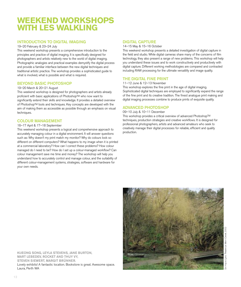### **WEEKEND WORKSHOPS WITH LES WALKLING**

#### INTRODUCTION TO DIGITAL IMAGING

#### 19–20 February & 23–24 July

This weekend workshop presents a comprehensive introduction to the principles and practice of digital imaging. It is specifically designed for photographers and artists relatively new to the world of digital imaging. Photographic analogies and practical examples demystify the digital process and provide a familiar interface between the new digital techniques and traditional artistic practice. The workshop provides a sophisticated guide to what is involved, what is possible and what is required.

#### BEYOND BASIC PHOTOSHOP

#### 19–20 March & 20–21 August

This weekend workshop is designed for photographers and artists already proficient with basic applications of Photoshop™ who now want to significantly extend their skills and knowledge. It provides a detailed overview of PhotoshopTM tools and techniques. Key concepts are developed with the aim of making them as accessible as possible through an emphasis on visual techniques.

#### COLOUR MANAGEMENT

#### 16–17 April & 17–18 Septermber

This weekend workshop presents a logical and comprehensive approach to accurately managing colour in a digital environment. It will answer questions such as: Why doesn't my print match my monitor? Why do colours look so different on different computers? What happens to my image when it is printed at a commercial laboratory? How can I correct these problems? How colour managed do I need to be? How do I set up a colour-managed workflow? Can colour management save me time and money? The workshop will help you understand how to accurately control and manage colour, and the suitability of different colour-management systems, strategies, software and hardware for your own needs.

#### DIGITAL CAPTURE

#### 14–15 May & 15–16 October

This weekend workshop presents a detailed investigation of digital capture in the field and studio. While digital cameras share many of the concerns of film technology, they also present a range of new problems. This workshop will help you understand these issues and to work constructively and productively with digital capture. Different working methodologies are compared and contrasted including RAW processing for the ultimate versatility and image quality.

#### THE DIGITAL FINE PRINT

#### 11–12 June & 12–13 November

This workshop explores the fine print in the age of digital imaging. Sophisticated digital techniques are employed to significantly expand the range of the fine print and its creative tradition. The finest analogue print making and digital imaging processes combine to produce prints of exquisite quality.

#### ADVANCED PHOTOSHOP

#### 09–10 July & 10–11 December

This workshop provides a critical overview of advanced PhotoshopTM techniques, production strategies and creative workflows. It is designed for professional photographers, artists and advanced amateurs who seek to creatively manage their digital processes for reliable, efficient and quality production.



KIJEONG SONG, LEYLA STEVENS, JANE BURTON, MART LEBEDEV, ROCKET AND THUY VY, STEVEN SIEWERT, MARGIT BRÜNNER. Lovely exhibits! A fantastic location. Bookstore is great. Awesome space. Laura, Perth WA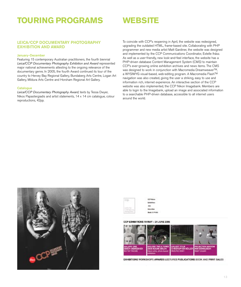## **TOURING PROGRAMS**

### **WEBSITE**

#### LEICA/CCP DOCUMENTARY PHOTOGRAPHY EXHIBITION AND AWARD

#### January–December

Featuring 15 contemporary Australian practitioners, the fourth biennial Leica/CCP Documentary Photography Exhibition and Award represented major national achievements attesting to the ongoing relevance of the documentary genre. In 2005, the fourth Award continued its tour of the country to Hervey Bay Regional Gallery, Bundaberg Arts Centre, Logan Art Gallery, Mildura Arts Centre and Horsham Regional Art Gallery.

#### **Catalogue**

Leica/CCP Documentary Photography Award, texts by Tessa Dwyer, Nikos Papastergiadis and artist statements, 14 x 14 cm catalogue, colour reproductions, 42pp.

To coincide with CCP's reopening in April, the website was redesigned, upgrading the outdated HTML, frame-based site. Collaborating with PHP programmer and new media artist Matt Gardiner, the website was designed and implemented by the CCP Communications Coordinator, Estelle Ihász. As well as a user-friendly, new look-and-feel interface, the website has a PHP-driven database Content Management System (CMS) to maintain CCP's ever-growing online exhibition archives and news items. The CMS was designed to work in conjunction with Macromedia DreamweaverTM, a WYSIWYG visual-based, web-editing program. A Macromedia FlashTM navigation was also created, giving the user a striking, easy to use and information rich, internet experience. An interactive section of the CCP website was also implemented, the CCP Nikon Imagebank. Members are able to login to the Imagebank, upload an image and associated information to a searchable PHP-driven database, accessible to all internet users around the world.





COP MA

#### CCP EXHIBITIONS TO MAY - 24 JUNE 2006



EXHIBITIONS WORKSHOPS AWARDS LECTURES PUBLICATIONS BOOK AND PRINT SALES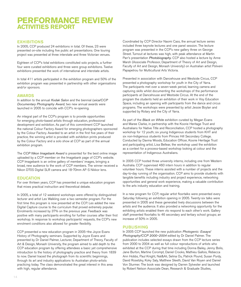### **PERFORMANCE REVIEW ACTIVITIES REPORT**

#### **EXHIBITIONS**

In 2005, CCP produced 24 exhibitions in total. Of these, 23 were presented on-site including five public art presentations. One touring project was presented at three interstate and three Victorian venues.

Eighteen of CCP's total exhibitions constituted solo projects, a further four were curated exhibitions and three were group exhibitions. Twelve exhibitions presented the work of international and interstate artists.

In total 411 artists participated in the exhibition program and 50% of the exhibition program was presented in partnership with other organisations and/or sponsors.

#### AWARDS

In addition to the annual Kodak Salon and the biennial Leica/CCP Documentary Photography Award, two new annual awards were launched in 2005 to coincide with CCP's re-opening.

An integral part of the CCP's program is to provide opportunities for emerging photo-based artists through education, professional development and exhibition. As part of this commitment CCP launched the national Colour Factory Award for emerging photographers sponsored by the Colour Factory. Awarded to an artist in the first five years of their practice, the winning artist is provided with exhibition prints produced by the Colour Factory and a solo show at CCP as part of the annual exhibition program.

The CCP Nikon Imagebank Award is presented for the best online image uploaded by a CCP member on the Imagebank page of CCP's website. CCP Imagebank is an online gallery of members' images, bringing a broad, new audience to the work of CCP members. The winner received a Nikon D70S Digital SLR camera and 18-70mm AF-S Nikkor lens.

#### **EDUCATION**

For over thirteen years, CCP has presented a unique education program that mixes practical instruction and theoretical debate.

In 2005, a total of 12 weekend workshops were offered by distinguished lecturer and artist Les Walkling over a two semester program. For the first time this program is now presented at the CCP. Les added the new Digital Capture course to the curriculum that proved extremely popular. Enrolments increased by 37% on the previous year. Feedback was positive with many participants enrolling for further courses after their first workshop. In response to workshop participants' requests, the CCP's new enrolment conditions also allowed for greater flexibility.

CCP presented a new education program in 2005–the Joyce Evans History of Photography seminars. Supported by Joyce Evans and presented by Dr Daniel Palmer, Lecturer, Department of Theory, Faculty of Art & Design, Monash University, the program aimed to add depth to the CCP education program by offering attendees a basic yet comprehensive introduction to the history of photography practice and theory from 1839 to now. Daniel traced the photograph from its scientific beginnings, through its art and industry applications to Australian photo-artists practicing today. The class demonstrated the great interest in this area with high, regular attendance.

Coordinated by CCP Director Naomi Cass, the annual lecture series included three keynote lectures and one panel session. The lecture program was presented in the CCP's new gallery three on George Street. Turnout at lectures was high, with peak attendance at Martin Parr's presentation Photobiography. CCP also hosted a lecture by Anne Marsh (Associate Professor, Department of Theory of Art and Design, Faculty of Art and Design, Monash University) on Australian artist Polixeni Papapetrou for Multicultural Arts Victoria.

Presented in association with Dancehouse and Westside Circus, CCP presented a photography workshop for youth in the City of Yarra. The participants met over a seven-week period, learning camera and capturing skills whilst documenting the workshops of the performance participants at Dancehouse and Westside Circus. At the end of the program the students held an exhibition of their work in Visy Education Space, including an opening with participants from the dance and circus programs. The workshops were presented by artist Jessie Boylan and supported by Rotary and the City of Yarra.

As part of the Black on White exhibition curated by Megan Evans and Maree Clarke, in partnership with the Koorie Heritage Trust and Australians for Native Title and Reconciliation, CCP hosted a photography workshop for 12 youth; six young Indigenous students from KHT and six non-Indigenous students from Princes Hill Secondary College. Conducted by Davina Woods, Education Officer, Koorie Heritage Trust and participating artist, Lisa Bellear, the workshop used the exhibition as a context for a process-based workshop looking at colour and the representation of Indigenous Australians.

In 2005 CCP hosted three university interns, including one from Western Australia. CCP supervised 460 intern hours in addition to regular volunteer hours. These interns assisted with a number of projects and the day-to-day running of the organisation. CCP aims to provide students with tangible benefits including industry and project experience, networking opportunities and general work experience, making a valuable contribution to the arts industry education and training.

In a new program for CCP, regular artist floortalks were presented every Saturday following an exhibition opening in 2005. Twenty-six talks were presented in 2005 and these generated lively discussions between the artists and the audience. It also provided a networking opportunity for the exhibiting artists enabled them vto respond to each other's work. Gallery staff presented floortalks to 46 secondary and tertiary school groups; an increase of 50% in 2005.

#### **PUBLISHING**

In 2005 CCP launched the new publication Photogenic: Essays/ Photography/CCP 2000-2004 edited by Dr Daniel Palmer. The publication includes selected essays drawn from the CCP lecture series from 2000 to 2004 as well as full colour reproductions of artists who exhibited at the CCP during that time including Donna Bailey, Jenny Bolis, Jane Burton, Martine Corompt, Daniel Crooks, Mathieu Gallois, Rebecca Ann Hobbs, Paul Knight, Nat&Ali, Selina Ou, Patrick Pound, Susan Purdy, David Rosetzky, Koky Saly, Matthew Sleeth, David Van Royen and Daniel Von Sturmer. The book was designed by Darren Sylvester and launched by Robert Nelson Associate Dean, Research & Graduate Studies,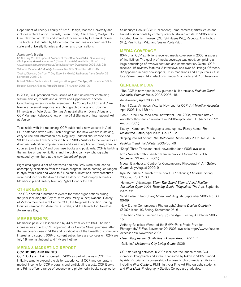Department of Theory, Faculty of Art & Design, Monash University and includes writers Sandy Edwards, Helen Ennis, Blair French, Martyn Jolly, Gael Newton, Ian North and introductory sections by Dr Daniel Palmer. The book is distributed by Modern Journal and has also been sent to state and university libraries and other arts organisations.

#### Photogenic Media

(2003, July 26–last update), "Winner of the 2005 Leica/CCP Documentary Photography Award announced" (State of the Arts), Available: http:// www.stateart.com.au/sota/news/default.asp?fid= (Accessed: 2005, July 28). 'Artnotes Victoria', Art Monthly Australia, No. 185, November 2005: 45.

'Desire, Discover, Do: Your 7 Day Essential Guide', Melbourne Yarra Leader, 23 November 2005: 24.

Robert Nelson, 'With a View to Taking in All Angles' The Age, 28 December 2005. Reuben Keehan, 'Books', Photofile, Issue 77, Autumn 2006: 79.

In 2005, CCP produced three issues of Flash newsletter containing feature articles, reports and a 'News and Opportunites' section. Contributing writers included members Ellie Young, Paul Fox and Clare Rae in a personal response to a photographic image and; Joanne Finkelstein on Vale Susan Sontag, Anne Zahalka on Diane Arbus and CCP Manager Rebecca Chew on the 51st Biennale of International Art at Venice.

To coincide with the reopening, CCP published a new website in April. PHP database driven with Flash navigation, the new website is striking, easy to use and information rich. Regularly updated, the website had 93,451 visits and over 2.5 million hits in 2005. Visitors to the website can download exhibition proposal forms and award application forms, enrol in courses, join the CCP and purchase books and postcards. CCP is building the archive of past exhibitions and the public can view photographs uploaded by members at the new Imagebank page.

Eight catalogues, a set of postcards and one DVD were produced to accompany exhibitions from the 2005 program. These catalogues ranged in style from black and white to full colour publications. New brochures were produced for the Joyce Evans History of Photography seminars, Membership and Gallery Naming Rights Donors to CCP.

#### OTHER EVENTS

The CCP hosted a number of events for other organisations during the year including the City of Yarra Arts Policy launch; National Gallery of Victoria members night at the CCP; the Regional Exhibition Touring Initiative seminar for Museums Australia; and the launch for Overdose Awareness Day.

#### MEMBERSHIPS

Memberships in 2005 increased by 44% from 450 to 650. The high increase was due to CCP reopening at its George Street premises after the temporary close in 2004 and is indicative of the breadth of community interest and support. 36% of current subscribers are concession, 62% are full, 1% are institutional and 1% are lifetime.

#### MEDIA & MARKETING REPORT

#### CCP BOOKS AND PRINTS

CCP Books and Prints opened in 2005 as part of the new CCP. This initiative aims to expand the visitor experience at CCP and generate a modest income for CCP programs and participating artists. CCP Books and Prints offers a range of second-hand photomedia books supplied by Sainsbury's Books; CCP Publications; Lomo cameras; artists' cards and limited edition prints by contemporary Australian artists. In 2005 artists included Joachim Froese (Qld) Siri Hayes (Vic), Rebecca Ann Hobbs (Vic), Paul Knight (Vic) and Susan Purdy (Vic).

#### MEDIA COVERAGE

80% of all CCP exhibitions received media coverage in 2005 in excess of line listings. The quality of media coverage was good, comprising a large percentage of reviews, features and commentaries. Overall CCP received 46 reviews/features, 8 interviews, and over 65 listings. Of these, 32 appeared in daily newspapers, 36 in magazines and art journals, 30 in local/street press, 14 in electronic media, 5 on radio and 2 on television.

#### GENERAL MEDIA

'The CCP is now open in new purpose built premises', Fashion Trend Australia: Premier issue, 2005/2006: 48.

Art Almanac, April 2005: 69.

Naomi Cass, 'Art notes Victoria: New pad for CCP', Art Monthly Australia, April 2005, No. 178: 44.

'Look', Three Thousand email newsletter, April 2005, available http:// www.threethousand.com.au/archive/2005/april/issue01 : (Accessed 22 August 2005).

Kathryn Kernohan, 'Photographs snap up new Fitzroy home', The Melbourne Times, April 2005: No. 16: 12.

'Tapping into Art Scene', The Melbourne Times, May 2005: No. 20:14. Fashion Trend, Fall/Winter 2005/06: 46.

"Shop", Three Thousand email newsletter June 2005, available

http://www.threethousand.com.au/archive/2005/june/issue007: (Accessed 22 August 2005).

Megan Backhouse, 'Centre for Contemporary Photography', Art Gallery Guide, July/August 2005: 9.

Kyla McFarlane, 'Launch of the new CCP galleries', Photofile, Spring 2005, no. 75: 67–68.

'Hometown Advantage', Slam: The Grand Slam of Asia/ Pacific: Australian Open 2006 Ticketing Guide (Magazine) The Age, September 2005: 22.

Sand Helsel, 'Peep Show', Monument, August/ September 2005, No. 68: 66-69.

'New Era for Contemporary Photography', Scene Design Quarterly (SDQ), Issue 19, Spring, September 05: 61.

Jo Roberts, 'Diary: Funding Leg-up', The Age, Tuesday, 4 October 2005: 15.

'Anthony Goicolea: Winner of the BMW–Paris Photo Prize for Photography' E-Flux, November 20, 2005, available http://www.eflux.com: Accessed 20 November 2005.

Helen Macpherson Smith Trust–Annual Report 2005: 7.

'Galleries', Melbourne City Living Guide, 2006.

CCP marketing activities in 2005 included the launch of the CCP members' Imagebank and award sponsored by Nikon in 2005, funded by Arts Victoria; and sponsorship of university photo-media exhibitions including First Capture, RMIT first year Fine Art Photography students and First Light, Photography Studies College art graduates.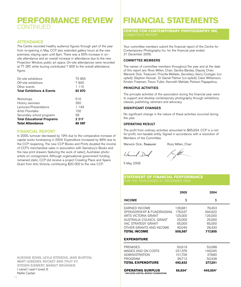### **PERFORMANCE REVIEW** CONTINUED

#### **ATTENDANCE**

The Centre recorded healthy audience figures through part of the year from re-opening in May. CCP also extended gallery hours at the new premises, staying open until 6pm. There was a 50% increase in onsite attendance and an overall increase in attendance due to the new Projection Window, public art space. On-site attendances were recorded at 77 287, while touring contributed 7 800 to the overall attendance figure.

| On-site exhibitions                   | 73 955  |
|---------------------------------------|---------|
| Off-site exhibitions                  | 7 800   |
| Other events                          | 1 1 1 5 |
| <b>Total Exhibitions &amp; Events</b> | 82870   |
|                                       |         |
| Workshops                             | 510     |
| History seminars                      | 350     |
| Lectures/Presentations                | 1 149   |
| Artist Floortalks                     | 150     |
| Secondary school programs             | 58      |
| <b>Total Educational Programs</b>     | 2 2 1 7 |
| <b>Total Attendance</b>               | 85 087  |

#### FINANCIAL REPORT

In 2005, turnover decreased by 19% due to the comparative increase of capital works fundraising in 2004. Expenditure increased by 86% due to the CCP reopening. The new CCP Books and Prints doubled the income of CCP's merchandise sales in association with Sainsbury's Books and the new print drawers featuring the work of select, Australian photoartists on consignment. Although organisational government funding remained static, CCP did receive a project Creating Place and Space Grant from Arts Victoria, contributing \$20 000 to the new CCP.

## **FINANCIAL STATEMENTS**

**CENTRE FOR CONTEMPORARY PHOTOGRAPHY INC**

Your committee members submit the financial report of the Centre for Contemporary Photography Inc. for the financial year ended 31 December 2005.

#### COMMITTEE MEMBERS

The names of committee members throughout the year and at the date of this report are: Ross Millen, Chair; Sandra Bardas, Deputy Chair; Warwick Dick, Treasurer; Priscilla Mellado, Secretary; Gerry Costigan (coopted); Stephen Nossal; Dr Daniel Palmer (co-opted); Clare Williamson; Kirsten Freeman; Trevor Fuller; Kenneth Mahlab; Polixeni Papapetrou.

#### PRINCIPLE ACTIVITIES

The principle activities of the association during the financial year were to support and develop contemporary photography through exhibitions, classes, publishing, seminars and advocacy.

#### SIGNIFICANT CHANGES

No significant change in the nature of these activities occurred during the year.

#### OPERATING RESULT

The profit from ordinary activities amounted to \$65,934. CCP is a notfor-profit, non-taxable entity. Signed in accordance with a resolution of Members of the Committee.

Warwich Diel

Warwick Dick, Treasurer Ross Millen, Chair

fran fill

5 May 2006

### **STATEMENT OF FINANCIAL PERFORMANCE**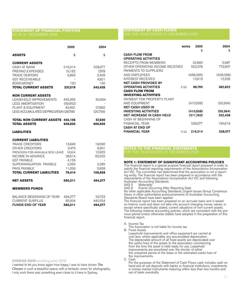#### **STATEMENT OF FINANCIAL POSITION** AS AT 31 DECEMBER 2005

|                                                                                                                                                                                                                                             | 2005                                                                      | 2004                                                             |
|---------------------------------------------------------------------------------------------------------------------------------------------------------------------------------------------------------------------------------------------|---------------------------------------------------------------------------|------------------------------------------------------------------|
| <b>ASSETS</b>                                                                                                                                                                                                                               | \$                                                                        | \$                                                               |
| <b>CURRENT ASSETS</b><br><b>CASH AT BANK</b><br>PREPAID EXPENSES<br><b>TRADE DEBTORS</b><br><b>GST RECEIVEABLE</b><br><b>BOND MONEY</b>                                                                                                     | 216,314<br>15,162<br>5,893<br>150                                         | 528,077<br>7,978<br>2,409<br>4,821<br>150                        |
| <b>TOTAL CURRENT ASSETS</b>                                                                                                                                                                                                                 | 237,519                                                                   | 543,435                                                          |
| <b>NON CURRENT ASSETS</b><br>LEASEHOLD IMPROVEMENTS<br><b>LESS AMORTISATION</b><br>PLANT & EQUIPMENT<br>LESS ACCUMULATED DEPRECIATION (26,756)                                                                                              | 445,359<br>(59,952)<br>43,455                                             | 50,364<br>27,892<br>(20,756)                                     |
| <b>TOTAL NON CURRENT ASSETS</b><br><b>TOTAL ASSETS</b>                                                                                                                                                                                      | 402,106<br>639,625                                                        | 57,500<br>600,935                                                |
| <b>LIABILITIES</b>                                                                                                                                                                                                                          |                                                                           |                                                                  |
| <b>CURRENT LIABILITIES</b><br><b>TRADE CREDITORS</b><br>OTHER CREDITORS<br>PROVISION FOR ANNUAL& SICK LEAVE<br>INCOME IN ADVANCE<br><b>GST PAYABLE</b><br>SUPERANNUATION PAYABLE<br><b>PAYG PAYABLE</b><br><b>TOTAL CURRENT LIABILITIES</b> | 13,846<br>2,475<br>16,904<br>28,614<br>4,156<br>2,363<br>11,056<br>79,414 | 19,090<br>6,501<br>10,922<br>62,022<br>2,285<br>5,838<br>106,658 |
| <b>NET ASSETS</b>                                                                                                                                                                                                                           | 560,211                                                                   | 494,277                                                          |
| <b>MEMBERS FUNDS</b>                                                                                                                                                                                                                        |                                                                           |                                                                  |
| <b>BALANCE BEGINNING OF YEAR</b><br><b>CURRENT SURPLUS</b><br><b>FUNDS END OF YEAR</b>                                                                                                                                                      | 494,277<br>65,934<br>560.211                                              | 53,723<br>440,554<br>494.277                                     |

#### CHERINE FAHD exhibiting artist, 2005

I wanted to let you know again how happy I was to have shown The Chosen in such a beautiful space, with a fantastic vision for photography. I only wish there was something even close to it here in Sydney.

#### **STATEMENT OF CASH FLOWS** FOR THE YEAR ENDED 31 DECEMBER 2005

|                                  | <b>NOTES</b> | 2005<br>\$ | 2004<br>\$ |
|----------------------------------|--------------|------------|------------|
| <b>CASH FLOW FROM</b>            |              |            |            |
| <b>OPERATING ACTIVITIES</b>      |              |            |            |
| RECEIPTS FROM MEMBERS            |              | 22,883     | 5,987      |
| OTHER OPERATING INCOME RECEIVED  |              | 550.379    | 772,907    |
| PAYMENTS TO SUPPLIERS            |              |            |            |
| AND EMPLOYEES                    |              | (488,386)  | (408, 398) |
| <b>INTEREST RECEIVED</b>         |              | 13,919     | 12,326     |
| <b>NET CASH PROVIDED BY</b>      |              |            |            |
| <b>OPERATING ACTIVITIES</b>      | 5(b)         | 98.795     | 382,822    |
| <b>CASH FLOW FROM</b>            |              |            |            |
| <b>INVESTING ACTIVITIES</b>      |              |            |            |
| PAYMENT FOR PROPERTY, PLANT      |              |            |            |
| AND EQUIPMENT                    |              | (410,558)  | (50, 364)  |
| <b>NET CASH USED IN</b>          |              |            |            |
| <b>INVESTING ACTIVITIES</b>      |              | (410, 558) | (50, 364)  |
| <b>NET INCREASE IN CASH HELD</b> |              | (311,763)  | 332,458    |
| CASH AT BEGINNING OF             |              |            |            |
| <b>FINANCIAL YEAR</b>            |              | 528,077    | 195,619    |
| <b>CASH AT END OF</b>            |              |            |            |
| <b>FINANCIAL YEAR</b>            | 5(a)         | 216,314    | 528,077    |

#### **NOTES TO THE FINANCIAL STATEMENTS**

FOR THE YEAR ENDED 31 DECEMBER 2005

#### **NOTE 1: STATEMENT OF SIGNIFICANT ACCOUNTING POLICIES**

This financial report is a special purpose financial report prepared in order to satisfy the financial reporting requirements of the Associations Incorporation Act VIC. The committee has determined that the association is not a reporting entity. The financial report has been prepared in accordance with the requirements of the Associations Incorporation Act VIC and following Australian Accounting Standards:<br>AAS 5 Materiality

AAS 5 Materiality<br>AAS 8 Events Oc Events Occurring After Reporting Date

No other applicable Accounting Standards, Urgent Issues Group Consensus Views or other authoritative pronouncements of Australian Accounting Standards Board have been applied.

The financial report has been prepared on an accruals basis and is based on historic costs and does not take into account changing money values, or except where specifically stated, current valuations of non-current assets. The following material accounting policies, which are consistent with the previous period unless otherwise stated, have adopted in the preparation of this financial report.

A. Income Tax

The Association is not liable for income tax

B. Fixed Assets

Leasehold improvements and office equipment are carried at cost less, where applicable, any accumulated depreciation. The depreciable amount of all fixed assets are depreciated over the useful lives of the assets to the association commencing from the time the asset is held ready for use. Leasehold improvements are amoritised over the shorter of either the unexpired period of the lease or the estimated useful lives of the improvements.

C. Cash

For the purposes of the Statement of Cash Flows, cash includes cash on hand and at call deposits with banks or financial institutions, investments in money market instruments maturing within less than two months and net of bank overdrafts.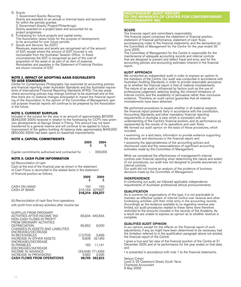D. Grants

1. Government Grants: Recurring Grants are awarded on an annual or triennial basis and accounted for within the periods granted. 2. Government Grants: Project/Philanthropic Grants awarded on a project basis and accounted for as project progresses.

E. Fundraising for future projects and capital works The Association raises funds for the purpose of development, to be accounted for over future periods.

F. Goods and Services Tax (GST) Revenues, expenses and assets are recognised net of the amount of GST, except where the amount of GST incurred is not recoverable from the Australian Taxation Office. In these circumstances the GST is recognised as part of the cost of acquisition of the asset or as part of an item of expense. Receivables and payables in the Statement of Financial Position are shown inclusive of GST.

#### **NOTE 2. IMPACT OF ADOPTING AASB EQUIVALENTS TO IASB STANDARDS**

Centre for Contemporary Photography has examined its accounting policies and financial reporting under Australian Standards and the Australian equivalents of International Financial Reporting Standards (IFRS). The key areas where accounting policies may change continue to be examined and at this time there are no material changes anticipated to impact the financial reporting of the Association. In the opinion of the Committee of Management, special purpose financial reports will continue to be prepared by the Association in the future.

#### **NOTE 3. CURRENT SURPLUS**

Included in the surplus for the year, is an amount of approximately \$57,000 (\$343,000 2004) received in relation to the fundraising for CCP's new premises developments at George Street in Fitzroy. This amount has not been transferred to a general reserve and will continue to be applied to future improvement of the gallery building. At balance date, approximately \$445,000 (\$50,000 2004) had been spent on leasehold improvements.

#### **NOTE 4. CAPITAL COMMITMENTS**

|                                                             | 2005 | 2004 |
|-------------------------------------------------------------|------|------|
| Capital commitments authorised and contracted for - 306,000 |      |      |

#### **NOTE 5: CASH FLOW INFORMATION**

(a) Reconciliation of cash

Cash at the end of the financial year as shown in the statement of Cash Flows is reconciled to the related items in the statement of financial position as follows:

|                              | 2005                                       | 2004 |
|------------------------------|--------------------------------------------|------|
| CASH ON HAND<br>CASH AT BANK | 150-<br>216.164 527.927<br>216,314 528,077 | 150. |

(b) Reconciliation of cash flow from operations

with profit from ordinary activities after income tax

| SURPLUS FROM ORDINARY<br>ACTIVITIES AFTER INCOME TAX<br>NON-CASH FLOWS IN PROFIT                               |                       | 65.934 440.554                      |
|----------------------------------------------------------------------------------------------------------------|-----------------------|-------------------------------------|
| FROM ORDINARY ACTIVITIES<br><b>DEPRECIATION</b><br>CHANGES IN ASSETS AND LIABILITIES                           | 65,952                | 6,000                               |
| (INCREASE)/DECREASE<br>IN RECEIVABLES<br>INCREASE IN OTHER ASSETS<br>(INCREASE)/DECREASE                       |                       | $(12,753)$ $3,466$<br>6.906 (9.195) |
| IN PAYABLES                                                                                                    | 182                   | 11.141                              |
| (DECREASE)/INCREASE<br>INCOME IN ADVANCE<br><b>INCREASE IN PROVISIONS</b><br><b>CASH FLOWS FROM OPERATIONS</b> | $(33,408)$ $(71,439)$ | 5.982 2.295<br>98.795 382.822       |

#### **INDEPENDENT AUDIT REPORT TO THE MEMBERS OF CENTRE FOR CONTEMPORARY PHOTOGRAPHY INC**

#### **SCOPE**

The financial report and committee's responsibility

The financial report comprises the statement of financial position, statement of financial performance, statement of cash flows, accompanying notes to the financial statements, and the declaration by the Committee of Management for the Centre for the year ended 30 June 2005.

The Committee of Management for the Centre is responsible for the maintenance of adequate accounting records and internal controls that are designed to prevent and detect fraud and error, and for the accounting policies and accounting estimates inherent in the financial report.

#### AUDIT APPROACH

We conducted an independent audit in order to express an opinion to the members of the Centre. Our audit was conducted in accordance with Australian Auditing Standards, in order to provide reasonable assurance as to whether the financial report is free of material misstatements. The nature of an audit is influenced by factors such as the use of professional judgement, selective testing, the inherent limitations of internal control, and the availability of persuasive rather than conclusive evidence. Therefore, an audit cannot guarantee that all material misstatements have been detected.

We performed procedures to assess whether in all material respects the financial report presents fairly in accordance with the constitution, Accounting Standards, and other mandatory financial reporting requirements in Australia, a view which is consistent with our understanding of the Centre's financial position, and its performance as represented by the results of its operations and cash flows. We formed our audit opinion on the basis of these procedures, which included:

• examining, on a test basis, information to provide evidence supporting the amounts and disclosures in the financial report, and

• assessing the appropriateness of the accounting policies and disclosures used and the reasonableness of significant accounting estimates made by the Committee of Management.

While we considered the effectiveness of management's internal controls over financial reporting when determining the nature and extent of our procedures, our audit was not designed to provide assurances on internal controls.

Our audit did not involve an analysis of the prudence of business decisions made by the Committee of Management.

#### INDEPENDENCE

In conducting our audit, we followed applicable independence requirements of Australian professional ethical pronouncements.

#### **QUALIFICATION**

As is common for organisations of this type, it is not practicable to maintain an effective system of internal control over revenue and other fundraising activities until their initial entry in the accounting records. Accordingly as the evidence available to us regarding revenue was limited, our audit procedures related to these items were therefore restricted to the amounts included in the records of the Academy. As a result we are unable to express an opinion as to whether revenue is complete.

#### QUALIFIED AUDIT OPINION

In our opinion, except for the effects on the financial report of such adjustments, if any, as might have been determined to be necessary had the limitation referred to in the qualification paragraph above not existed, the financial report of the Centre:

• gives a true and fair view of the financial position of the Centre at 31 December 2005 and of its performance for the year ended on that date, and

• is presented in accordance with note 1 to the financial statements.

Selwyn Cohen Level 3, 25 Claremont Street, South Yarra Chartered Accountant 8 May 2006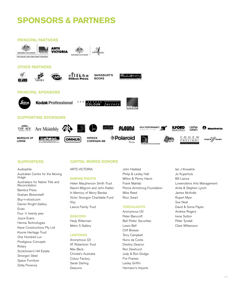## **SPONSORS & PARTNERS**



Audiophile Australian Centre for the Moving Image Australians for Native Title and Reconciliation Bambra Press Graham Bickerstaff Buy-n-shoot.com Darren Knight Gallery Evian Four 'n' twenty pies Joyce Evans Herma Technologies Kane Constructions Pty Ltd Koorie Heritage Trust One Hundred Lux Prodigious Concepts Rotary Scotchman's Hill Estate Smorgon Steel Space Furniture Zetta Florence

### SUPPORTERS CAPITAL WORKS DONORS

ARTS VICTORIA

#### NAMING RIGHTS

Helen Macpherson Smith Trust Naomi Milgrom and John Kaldor In Memory of Morry Bardas Victor Smorgon Charitable Fund Visy Lasica Family Trust

#### BEACONS

Hedy Ritterman Metro 5 Gallery

#### LANTERNS

Anonymous (2) AT Robertson Trust Max Beck Christie's Australia Colour Factory Sarah Darling Deacons

John Haddad Philip & Lesley Hall Milton & Penny Harris Frank Mahlab Pierce Armstrong Foundation Mike Reed Ricci Swart

#### **TORCHLIGHTS**

Anonymous (3) Peter Bancroft Bell Potter Securities Lewis Bell Cliff Breeze Terry Campbell Nuno da Costa Destiny Deacon Ron Dewhurst Judy & Ron Dodge Fini Frames Lesley Griffin Hermann's Imports

Ian J Kowalick Jo Kuperholz Bill Lasica Lowensteins Arts Management Anita & Stephen Lynch James McArdle Rupert Myer Sue Neal David & Sonia Payes Andrew Rogers Irene Sutton Peter Tyndall Clare Williamson